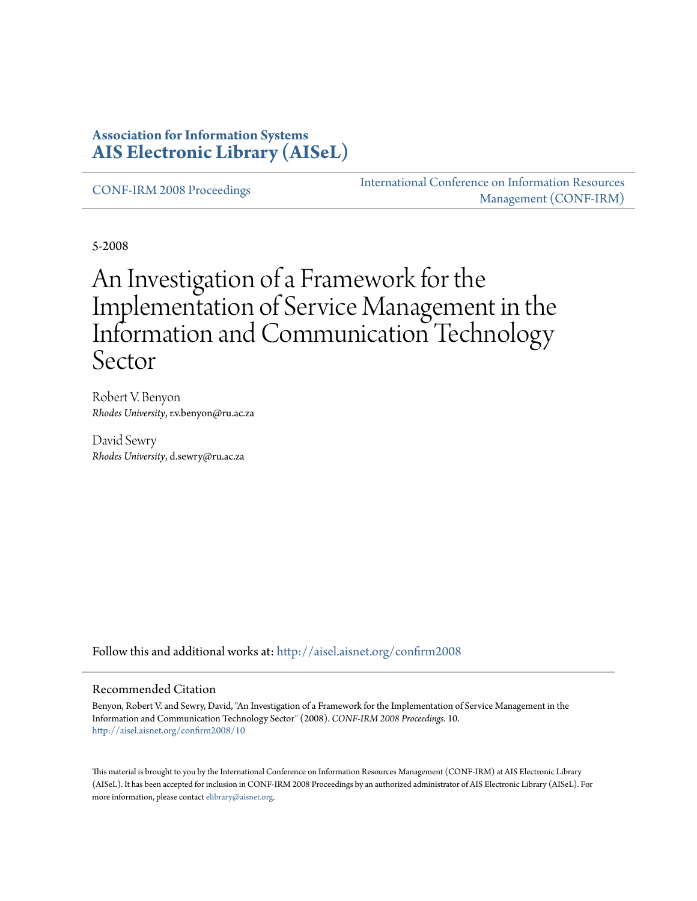#### **Association for Information Systems [AIS Electronic Library \(AISeL\)](http://aisel.aisnet.org?utm_source=aisel.aisnet.org%2Fconfirm2008%2F10&utm_medium=PDF&utm_campaign=PDFCoverPages)**

[CONF-IRM 2008 Proceedings](http://aisel.aisnet.org/confirm2008?utm_source=aisel.aisnet.org%2Fconfirm2008%2F10&utm_medium=PDF&utm_campaign=PDFCoverPages)

[International Conference on Information Resources](http://aisel.aisnet.org/conf-irm?utm_source=aisel.aisnet.org%2Fconfirm2008%2F10&utm_medium=PDF&utm_campaign=PDFCoverPages) [Management \(CONF-IRM\)](http://aisel.aisnet.org/conf-irm?utm_source=aisel.aisnet.org%2Fconfirm2008%2F10&utm_medium=PDF&utm_campaign=PDFCoverPages)

5-2008

# An Investigation of a Framework for the Implementation of Service Management in the Information and Communication Technology Sector

Robert V. Benyon *Rhodes University*, r.v.benyon@ru.ac.za

David Sewry *Rhodes University*, d.sewry@ru.ac.za

Follow this and additional works at: [http://aisel.aisnet.org/confirm2008](http://aisel.aisnet.org/confirm2008?utm_source=aisel.aisnet.org%2Fconfirm2008%2F10&utm_medium=PDF&utm_campaign=PDFCoverPages)

#### Recommended Citation

Benyon, Robert V. and Sewry, David, "An Investigation of a Framework for the Implementation of Service Management in the Information and Communication Technology Sector" (2008). *CONF-IRM 2008 Proceedings*. 10. [http://aisel.aisnet.org/confirm2008/10](http://aisel.aisnet.org/confirm2008/10?utm_source=aisel.aisnet.org%2Fconfirm2008%2F10&utm_medium=PDF&utm_campaign=PDFCoverPages)

This material is brought to you by the International Conference on Information Resources Management (CONF-IRM) at AIS Electronic Library (AISeL). It has been accepted for inclusion in CONF-IRM 2008 Proceedings by an authorized administrator of AIS Electronic Library (AISeL). For more information, please contact [elibrary@aisnet.org.](mailto:elibrary@aisnet.org%3E)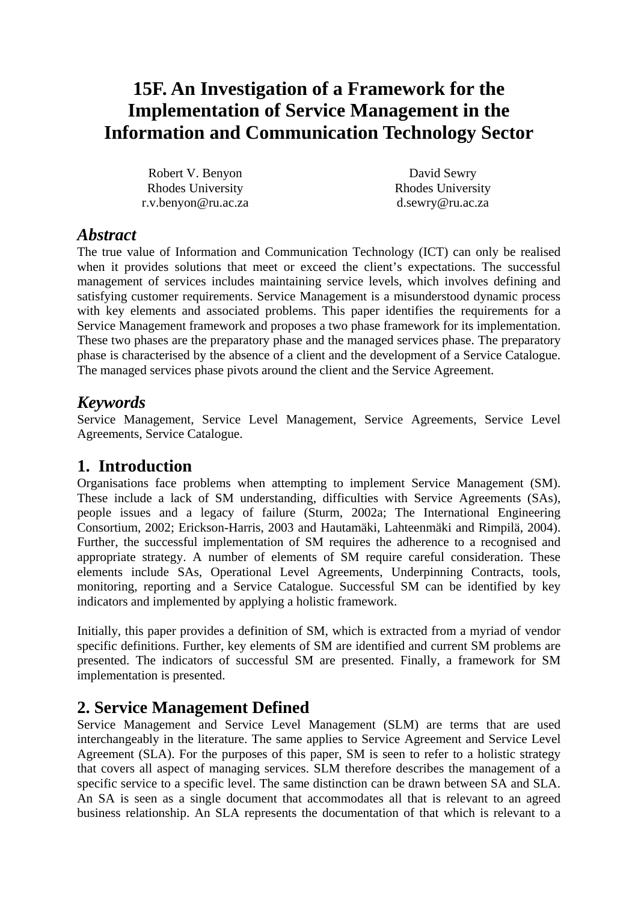## **15F. An Investigation of a Framework for the Implementation of Service Management in the Information and Communication Technology Sector**

Robert V. Benyon Rhodes University r.v.benyon@ru.ac.za

David Sewry Rhodes University d.sewry@ru.ac.za

#### *Abstract*

The true value of Information and Communication Technology (ICT) can only be realised when it provides solutions that meet or exceed the client's expectations. The successful management of services includes maintaining service levels, which involves defining and satisfying customer requirements. Service Management is a misunderstood dynamic process with key elements and associated problems. This paper identifies the requirements for a Service Management framework and proposes a two phase framework for its implementation. These two phases are the preparatory phase and the managed services phase. The preparatory phase is characterised by the absence of a client and the development of a Service Catalogue. The managed services phase pivots around the client and the Service Agreement.

### *Keywords*

Service Management, Service Level Management, Service Agreements, Service Level Agreements, Service Catalogue.

### **1. Introduction**

Organisations face problems when attempting to implement Service Management (SM). These include a lack of SM understanding, difficulties with Service Agreements (SAs), people issues and a legacy of failure (Sturm, 2002a; The International Engineering Consortium, 2002; Erickson-Harris, 2003 and Hautamäki, Lahteenmäki and Rimpilä, 2004). Further, the successful implementation of SM requires the adherence to a recognised and appropriate strategy. A number of elements of SM require careful consideration. These elements include SAs, Operational Level Agreements, Underpinning Contracts, tools, monitoring, reporting and a Service Catalogue. Successful SM can be identified by key indicators and implemented by applying a holistic framework.

Initially, this paper provides a definition of SM, which is extracted from a myriad of vendor specific definitions. Further, key elements of SM are identified and current SM problems are presented. The indicators of successful SM are presented. Finally, a framework for SM implementation is presented.

### **2. Service Management Defined**

Service Management and Service Level Management (SLM) are terms that are used interchangeably in the literature. The same applies to Service Agreement and Service Level Agreement (SLA). For the purposes of this paper, SM is seen to refer to a holistic strategy that covers all aspect of managing services. SLM therefore describes the management of a specific service to a specific level. The same distinction can be drawn between SA and SLA. An SA is seen as a single document that accommodates all that is relevant to an agreed business relationship. An SLA represents the documentation of that which is relevant to a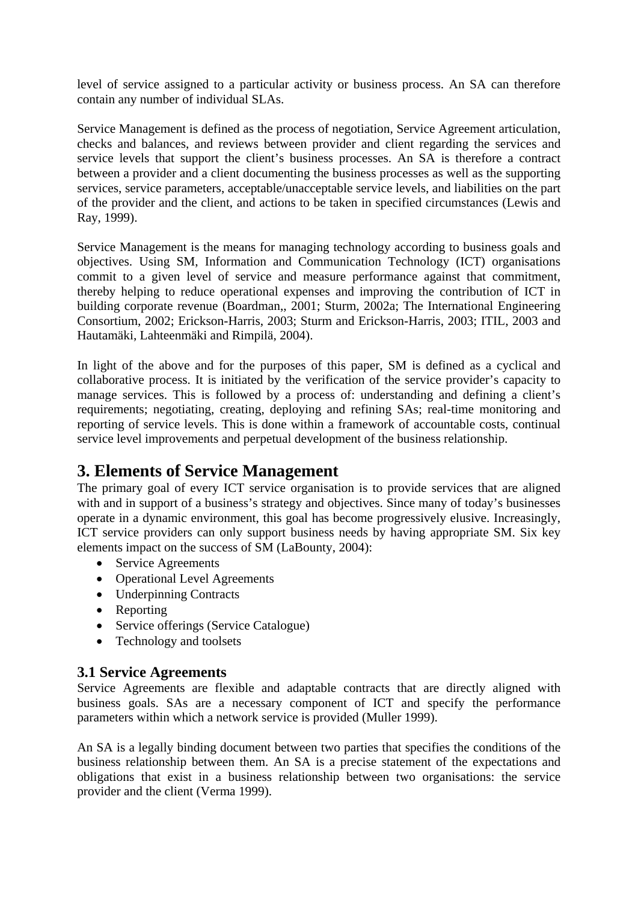level of service assigned to a particular activity or business process. An SA can therefore contain any number of individual SLAs.

Service Management is defined as the process of negotiation, Service Agreement articulation, checks and balances, and reviews between provider and client regarding the services and service levels that support the client's business processes. An SA is therefore a contract between a provider and a client documenting the business processes as well as the supporting services, service parameters, acceptable/unacceptable service levels, and liabilities on the part of the provider and the client, and actions to be taken in specified circumstances (Lewis and Ray, 1999).

Service Management is the means for managing technology according to business goals and objectives. Using SM, Information and Communication Technology (ICT) organisations commit to a given level of service and measure performance against that commitment, thereby helping to reduce operational expenses and improving the contribution of ICT in building corporate revenue (Boardman,, 2001; Sturm, 2002a; The International Engineering Consortium, 2002; Erickson-Harris, 2003; Sturm and Erickson-Harris, 2003; ITIL, 2003 and Hautamäki, Lahteenmäki and Rimpilä, 2004).

In light of the above and for the purposes of this paper, SM is defined as a cyclical and collaborative process. It is initiated by the verification of the service provider's capacity to manage services. This is followed by a process of: understanding and defining a client's requirements; negotiating, creating, deploying and refining SAs; real-time monitoring and reporting of service levels. This is done within a framework of accountable costs, continual service level improvements and perpetual development of the business relationship.

### **3. Elements of Service Management**

The primary goal of every ICT service organisation is to provide services that are aligned with and in support of a business's strategy and objectives. Since many of today's businesses operate in a dynamic environment, this goal has become progressively elusive. Increasingly, ICT service providers can only support business needs by having appropriate SM. Six key elements impact on the success of SM (LaBounty, 2004):

- Service Agreements
- Operational Level Agreements
- Underpinning Contracts
- Reporting
- Service offerings (Service Catalogue)
- Technology and toolsets

#### **3.1 Service Agreements**

Service Agreements are flexible and adaptable contracts that are directly aligned with business goals. SAs are a necessary component of ICT and specify the performance parameters within which a network service is provided (Muller 1999).

An SA is a legally binding document between two parties that specifies the conditions of the business relationship between them. An SA is a precise statement of the expectations and obligations that exist in a business relationship between two organisations: the service provider and the client (Verma 1999).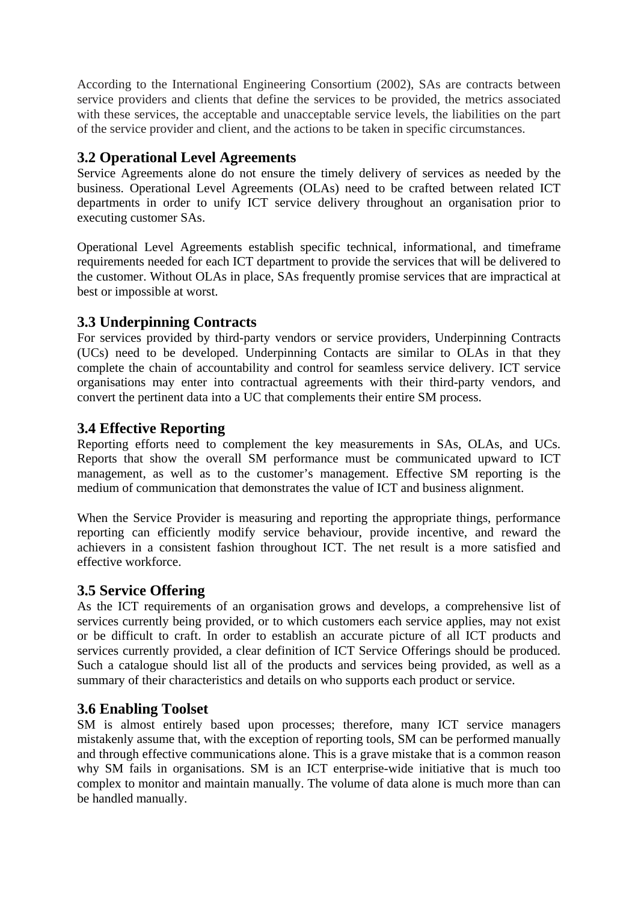According to the International Engineering Consortium (2002), SAs are contracts between service providers and clients that define the services to be provided, the metrics associated with these services, the acceptable and unacceptable service levels, the liabilities on the part of the service provider and client, and the actions to be taken in specific circumstances.

#### **3.2 Operational Level Agreements**

Service Agreements alone do not ensure the timely delivery of services as needed by the business. Operational Level Agreements (OLAs) need to be crafted between related ICT departments in order to unify ICT service delivery throughout an organisation prior to executing customer SAs.

Operational Level Agreements establish specific technical, informational, and timeframe requirements needed for each ICT department to provide the services that will be delivered to the customer. Without OLAs in place, SAs frequently promise services that are impractical at best or impossible at worst.

#### **3.3 Underpinning Contracts**

For services provided by third-party vendors or service providers, Underpinning Contracts (UCs) need to be developed. Underpinning Contacts are similar to OLAs in that they complete the chain of accountability and control for seamless service delivery. ICT service organisations may enter into contractual agreements with their third-party vendors, and convert the pertinent data into a UC that complements their entire SM process.

#### **3.4 Effective Reporting**

Reporting efforts need to complement the key measurements in SAs, OLAs, and UCs. Reports that show the overall SM performance must be communicated upward to ICT management, as well as to the customer's management. Effective SM reporting is the medium of communication that demonstrates the value of ICT and business alignment.

When the Service Provider is measuring and reporting the appropriate things, performance reporting can efficiently modify service behaviour, provide incentive, and reward the achievers in a consistent fashion throughout ICT. The net result is a more satisfied and effective workforce.

#### **3.5 Service Offering**

As the ICT requirements of an organisation grows and develops, a comprehensive list of services currently being provided, or to which customers each service applies, may not exist or be difficult to craft. In order to establish an accurate picture of all ICT products and services currently provided, a clear definition of ICT Service Offerings should be produced. Such a catalogue should list all of the products and services being provided, as well as a summary of their characteristics and details on who supports each product or service.

#### **3.6 Enabling Toolset**

SM is almost entirely based upon processes; therefore, many ICT service managers mistakenly assume that, with the exception of reporting tools, SM can be performed manually and through effective communications alone. This is a grave mistake that is a common reason why SM fails in organisations. SM is an ICT enterprise-wide initiative that is much too complex to monitor and maintain manually. The volume of data alone is much more than can be handled manually.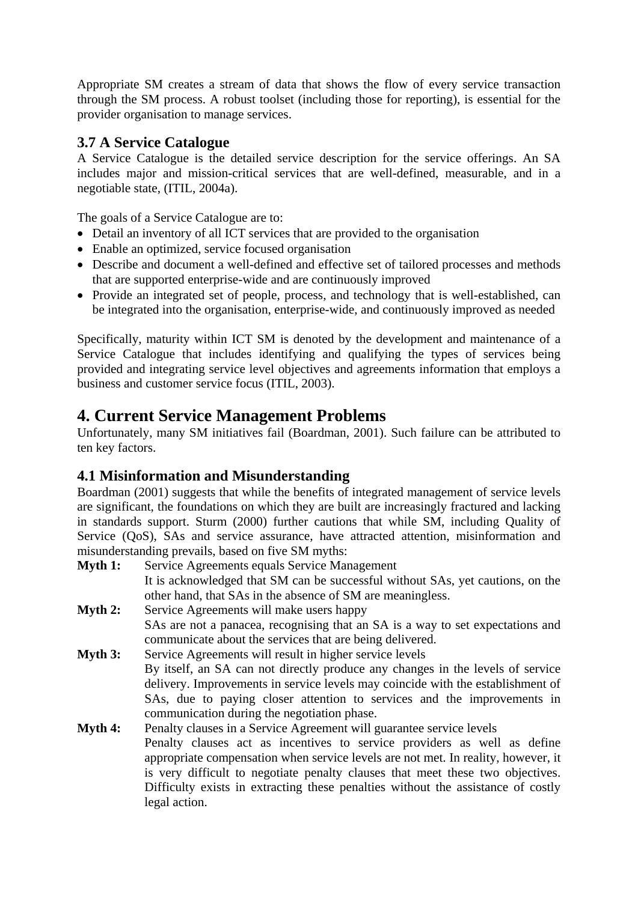Appropriate SM creates a stream of data that shows the flow of every service transaction through the SM process. A robust toolset (including those for reporting), is essential for the provider organisation to manage services.

#### **3.7 A Service Catalogue**

A Service Catalogue is the detailed service description for the service offerings. An SA includes major and mission-critical services that are well-defined, measurable, and in a negotiable state, (ITIL, 2004a).

The goals of a Service Catalogue are to:

- Detail an inventory of all ICT services that are provided to the organisation
- Enable an optimized, service focused organisation
- Describe and document a well-defined and effective set of tailored processes and methods that are supported enterprise-wide and are continuously improved
- Provide an integrated set of people, process, and technology that is well-established, can be integrated into the organisation, enterprise-wide, and continuously improved as needed

Specifically, maturity within ICT SM is denoted by the development and maintenance of a Service Catalogue that includes identifying and qualifying the types of services being provided and integrating service level objectives and agreements information that employs a business and customer service focus (ITIL, 2003).

### **4. Current Service Management Problems**

Unfortunately, many SM initiatives fail (Boardman, 2001). Such failure can be attributed to ten key factors.

#### **4.1 Misinformation and Misunderstanding**

Boardman (2001) suggests that while the benefits of integrated management of service levels are significant, the foundations on which they are built are increasingly fractured and lacking in standards support. Sturm (2000) further cautions that while SM, including Quality of Service (QoS), SAs and service assurance, have attracted attention, misinformation and misunderstanding prevails, based on five SM myths:

- **Myth 1:** Service Agreements equals Service Management It is acknowledged that SM can be successful without SAs, yet cautions, on the other hand, that SAs in the absence of SM are meaningless.
- **Myth 2:** Service Agreements will make users happy SAs are not a panacea, recognising that an SA is a way to set expectations and communicate about the services that are being delivered.
- **Myth 3:** Service Agreements will result in higher service levels By itself, an SA can not directly produce any changes in the levels of service delivery. Improvements in service levels may coincide with the establishment of SAs, due to paying closer attention to services and the improvements in communication during the negotiation phase.
- **Myth 4:** Penalty clauses in a Service Agreement will guarantee service levels Penalty clauses act as incentives to service providers as well as define appropriate compensation when service levels are not met. In reality, however, it is very difficult to negotiate penalty clauses that meet these two objectives. Difficulty exists in extracting these penalties without the assistance of costly legal action.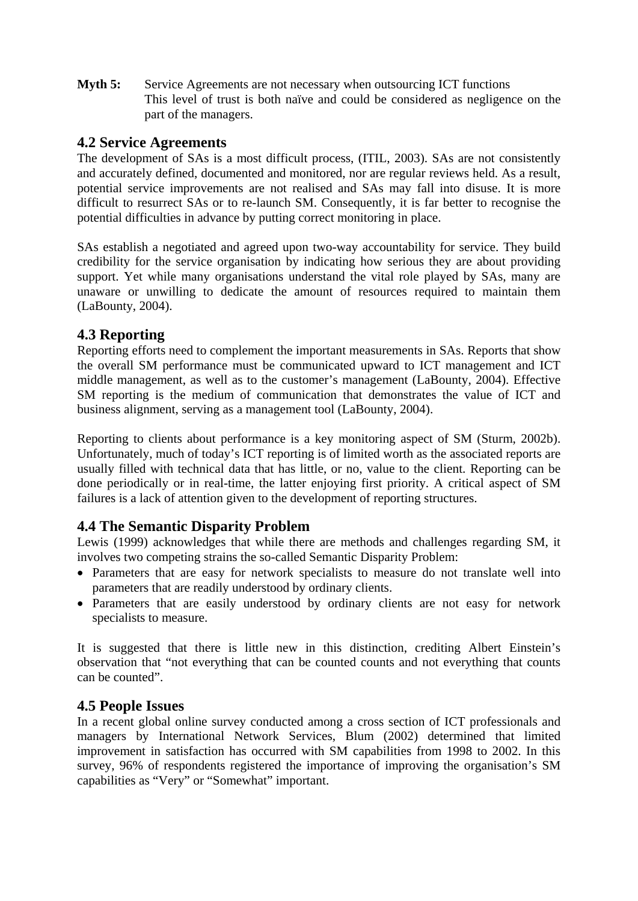**Myth 5:** Service Agreements are not necessary when outsourcing ICT functions This level of trust is both naïve and could be considered as negligence on the part of the managers.

#### **4.2 Service Agreements**

The development of SAs is a most difficult process, (ITIL, 2003). SAs are not consistently and accurately defined, documented and monitored, nor are regular reviews held. As a result, potential service improvements are not realised and SAs may fall into disuse. It is more difficult to resurrect SAs or to re-launch SM. Consequently, it is far better to recognise the potential difficulties in advance by putting correct monitoring in place.

SAs establish a negotiated and agreed upon two-way accountability for service. They build credibility for the service organisation by indicating how serious they are about providing support. Yet while many organisations understand the vital role played by SAs, many are unaware or unwilling to dedicate the amount of resources required to maintain them (LaBounty, 2004).

#### **4.3 Reporting**

Reporting efforts need to complement the important measurements in SAs. Reports that show the overall SM performance must be communicated upward to ICT management and ICT middle management, as well as to the customer's management (LaBounty, 2004). Effective SM reporting is the medium of communication that demonstrates the value of ICT and business alignment, serving as a management tool (LaBounty, 2004).

Reporting to clients about performance is a key monitoring aspect of SM (Sturm, 2002b). Unfortunately, much of today's ICT reporting is of limited worth as the associated reports are usually filled with technical data that has little, or no, value to the client. Reporting can be done periodically or in real-time, the latter enjoying first priority. A critical aspect of SM failures is a lack of attention given to the development of reporting structures.

#### **4.4 The Semantic Disparity Problem**

Lewis (1999) acknowledges that while there are methods and challenges regarding SM, it involves two competing strains the so-called Semantic Disparity Problem:

- Parameters that are easy for network specialists to measure do not translate well into parameters that are readily understood by ordinary clients.
- Parameters that are easily understood by ordinary clients are not easy for network specialists to measure.

It is suggested that there is little new in this distinction, crediting Albert Einstein's observation that "not everything that can be counted counts and not everything that counts can be counted".

#### **4.5 People Issues**

In a recent global online survey conducted among a cross section of ICT professionals and managers by International Network Services, Blum (2002) determined that limited improvement in satisfaction has occurred with SM capabilities from 1998 to 2002. In this survey, 96% of respondents registered the importance of improving the organisation's SM capabilities as "Very" or "Somewhat" important.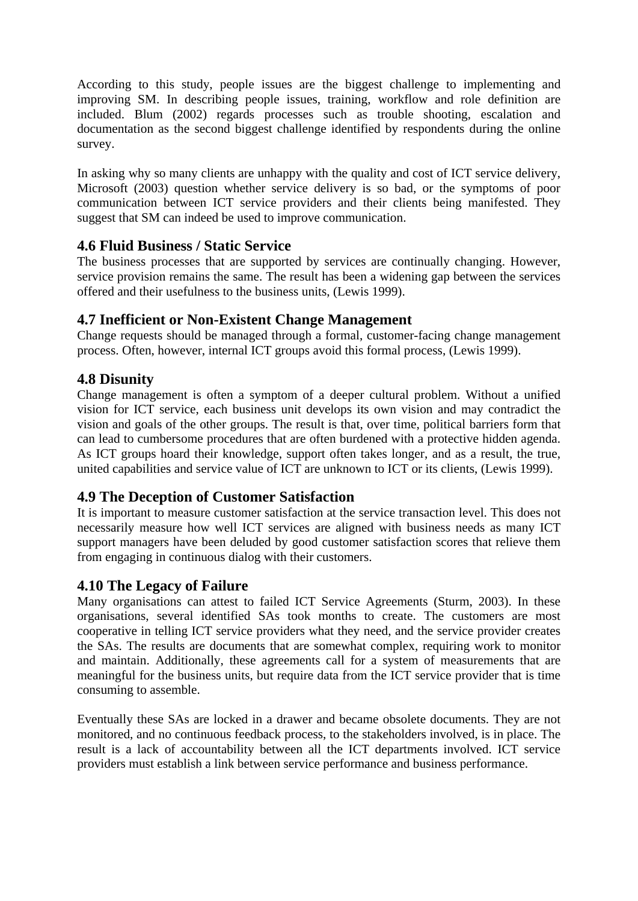According to this study, people issues are the biggest challenge to implementing and improving SM. In describing people issues, training, workflow and role definition are included. Blum (2002) regards processes such as trouble shooting, escalation and documentation as the second biggest challenge identified by respondents during the online survey.

In asking why so many clients are unhappy with the quality and cost of ICT service delivery, Microsoft (2003) question whether service delivery is so bad, or the symptoms of poor communication between ICT service providers and their clients being manifested. They suggest that SM can indeed be used to improve communication.

#### **4.6 Fluid Business / Static Service**

The business processes that are supported by services are continually changing. However, service provision remains the same. The result has been a widening gap between the services offered and their usefulness to the business units, (Lewis 1999).

#### **4.7 Inefficient or Non-Existent Change Management**

Change requests should be managed through a formal, customer-facing change management process. Often, however, internal ICT groups avoid this formal process, (Lewis 1999).

#### **4.8 Disunity**

Change management is often a symptom of a deeper cultural problem. Without a unified vision for ICT service, each business unit develops its own vision and may contradict the vision and goals of the other groups. The result is that, over time, political barriers form that can lead to cumbersome procedures that are often burdened with a protective hidden agenda. As ICT groups hoard their knowledge, support often takes longer, and as a result, the true, united capabilities and service value of ICT are unknown to ICT or its clients, (Lewis 1999).

#### **4.9 The Deception of Customer Satisfaction**

It is important to measure customer satisfaction at the service transaction level. This does not necessarily measure how well ICT services are aligned with business needs as many ICT support managers have been deluded by good customer satisfaction scores that relieve them from engaging in continuous dialog with their customers.

#### **4.10 The Legacy of Failure**

Many organisations can attest to failed ICT Service Agreements (Sturm, 2003). In these organisations, several identified SAs took months to create. The customers are most cooperative in telling ICT service providers what they need, and the service provider creates the SAs. The results are documents that are somewhat complex, requiring work to monitor and maintain. Additionally, these agreements call for a system of measurements that are meaningful for the business units, but require data from the ICT service provider that is time consuming to assemble.

Eventually these SAs are locked in a drawer and became obsolete documents. They are not monitored, and no continuous feedback process, to the stakeholders involved, is in place. The result is a lack of accountability between all the ICT departments involved. ICT service providers must establish a link between service performance and business performance.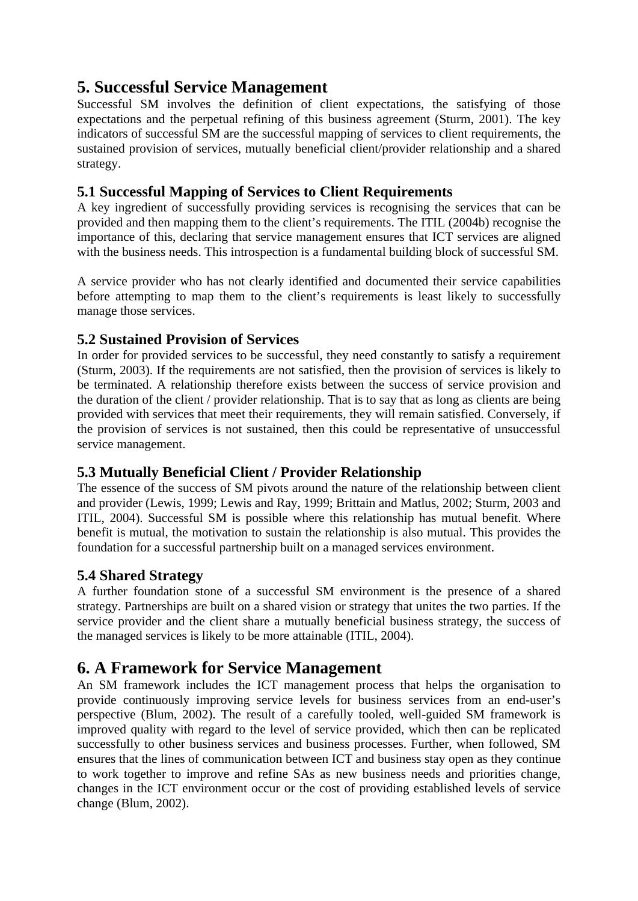### **5. Successful Service Management**

Successful SM involves the definition of client expectations, the satisfying of those expectations and the perpetual refining of this business agreement (Sturm, 2001). The key indicators of successful SM are the successful mapping of services to client requirements, the sustained provision of services, mutually beneficial client/provider relationship and a shared strategy.

#### **5.1 Successful Mapping of Services to Client Requirements**

A key ingredient of successfully providing services is recognising the services that can be provided and then mapping them to the client's requirements. The ITIL (2004b) recognise the importance of this, declaring that service management ensures that ICT services are aligned with the business needs. This introspection is a fundamental building block of successful SM.

A service provider who has not clearly identified and documented their service capabilities before attempting to map them to the client's requirements is least likely to successfully manage those services.

#### **5.2 Sustained Provision of Services**

In order for provided services to be successful, they need constantly to satisfy a requirement (Sturm, 2003). If the requirements are not satisfied, then the provision of services is likely to be terminated. A relationship therefore exists between the success of service provision and the duration of the client / provider relationship. That is to say that as long as clients are being provided with services that meet their requirements, they will remain satisfied. Conversely, if the provision of services is not sustained, then this could be representative of unsuccessful service management.

#### **5.3 Mutually Beneficial Client / Provider Relationship**

The essence of the success of SM pivots around the nature of the relationship between client and provider (Lewis, 1999; Lewis and Ray, 1999; Brittain and Matlus, 2002; Sturm, 2003 and ITIL, 2004). Successful SM is possible where this relationship has mutual benefit. Where benefit is mutual, the motivation to sustain the relationship is also mutual. This provides the foundation for a successful partnership built on a managed services environment.

#### **5.4 Shared Strategy**

A further foundation stone of a successful SM environment is the presence of a shared strategy. Partnerships are built on a shared vision or strategy that unites the two parties. If the service provider and the client share a mutually beneficial business strategy, the success of the managed services is likely to be more attainable (ITIL, 2004).

### **6. A Framework for Service Management**

An SM framework includes the ICT management process that helps the organisation to provide continuously improving service levels for business services from an end-user's perspective (Blum, 2002). The result of a carefully tooled, well-guided SM framework is improved quality with regard to the level of service provided, which then can be replicated successfully to other business services and business processes. Further, when followed, SM ensures that the lines of communication between ICT and business stay open as they continue to work together to improve and refine SAs as new business needs and priorities change, changes in the ICT environment occur or the cost of providing established levels of service change (Blum, 2002).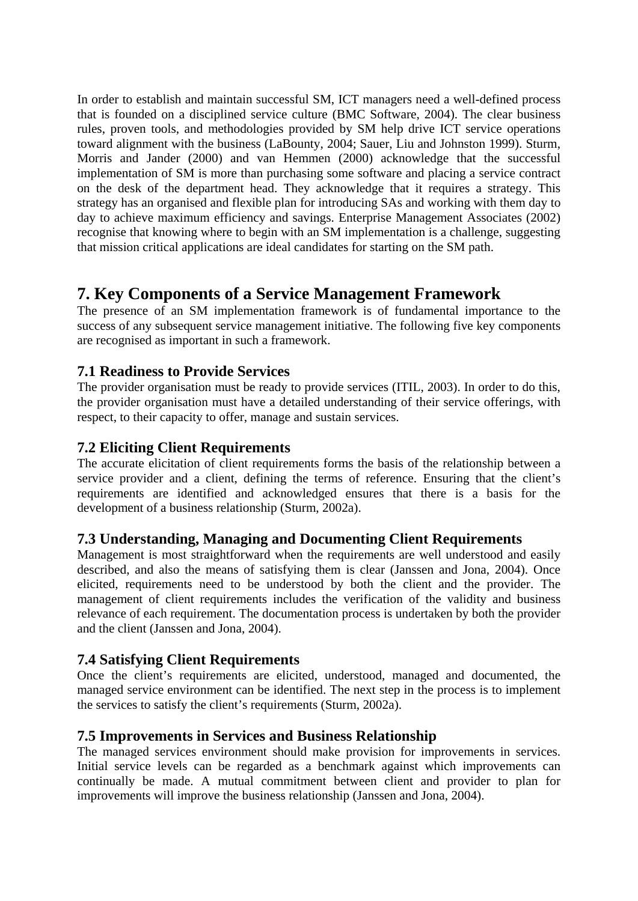In order to establish and maintain successful SM, ICT managers need a well-defined process that is founded on a disciplined service culture (BMC Software, 2004). The clear business rules, proven tools, and methodologies provided by SM help drive ICT service operations toward alignment with the business (LaBounty, 2004; Sauer, Liu and Johnston 1999). Sturm, Morris and Jander (2000) and van Hemmen (2000) acknowledge that the successful implementation of SM is more than purchasing some software and placing a service contract on the desk of the department head. They acknowledge that it requires a strategy. This strategy has an organised and flexible plan for introducing SAs and working with them day to day to achieve maximum efficiency and savings. Enterprise Management Associates (2002) recognise that knowing where to begin with an SM implementation is a challenge, suggesting that mission critical applications are ideal candidates for starting on the SM path.

### **7. Key Components of a Service Management Framework**

The presence of an SM implementation framework is of fundamental importance to the success of any subsequent service management initiative. The following five key components are recognised as important in such a framework.

#### **7.1 Readiness to Provide Services**

The provider organisation must be ready to provide services (ITIL, 2003). In order to do this, the provider organisation must have a detailed understanding of their service offerings, with respect, to their capacity to offer, manage and sustain services.

#### **7.2 Eliciting Client Requirements**

The accurate elicitation of client requirements forms the basis of the relationship between a service provider and a client, defining the terms of reference. Ensuring that the client's requirements are identified and acknowledged ensures that there is a basis for the development of a business relationship (Sturm, 2002a).

#### **7.3 Understanding, Managing and Documenting Client Requirements**

Management is most straightforward when the requirements are well understood and easily described, and also the means of satisfying them is clear (Janssen and Jona, 2004). Once elicited, requirements need to be understood by both the client and the provider. The management of client requirements includes the verification of the validity and business relevance of each requirement. The documentation process is undertaken by both the provider and the client (Janssen and Jona, 2004).

#### **7.4 Satisfying Client Requirements**

Once the client's requirements are elicited, understood, managed and documented, the managed service environment can be identified. The next step in the process is to implement the services to satisfy the client's requirements (Sturm, 2002a).

#### **7.5 Improvements in Services and Business Relationship**

The managed services environment should make provision for improvements in services. Initial service levels can be regarded as a benchmark against which improvements can continually be made. A mutual commitment between client and provider to plan for improvements will improve the business relationship (Janssen and Jona, 2004).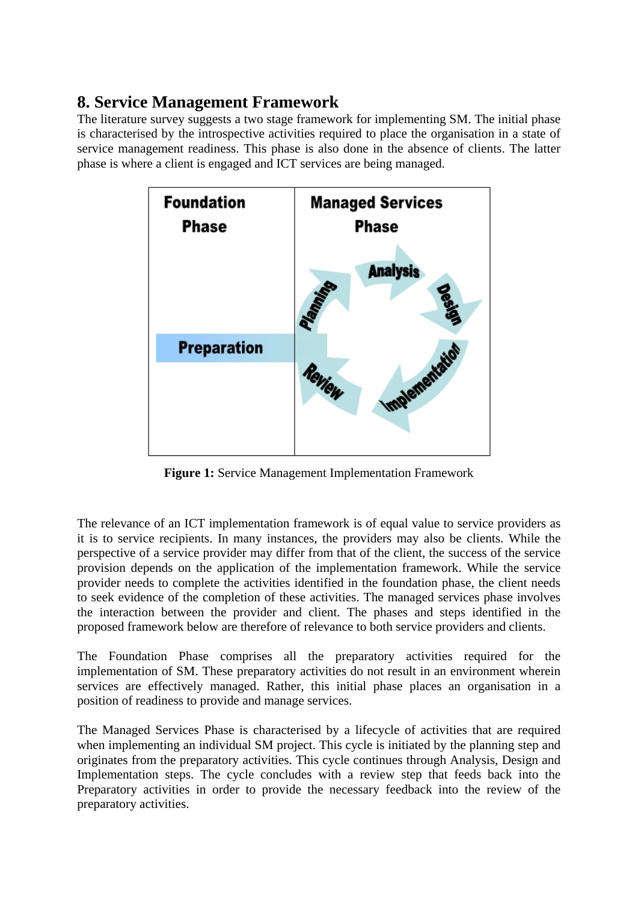### **8. Service Management Framework**

The literature survey suggests a two stage framework for implementing SM. The initial phase is characterised by the introspective activities required to place the organisation in a state of service management readiness. This phase is also done in the absence of clients. The latter phase is where a client is engaged and ICT services are being managed.



**Figure 1:** Service Management Implementation Framework

The relevance of an ICT implementation framework is of equal value to service providers as it is to service recipients. In many instances, the providers may also be clients. While the perspective of a service provider may differ from that of the client, the success of the service provision depends on the application of the implementation framework. While the service provider needs to complete the activities identified in the foundation phase, the client needs to seek evidence of the completion of these activities. The managed services phase involves the interaction between the provider and client. The phases and steps identified in the proposed framework below are therefore of relevance to both service providers and clients.

The Foundation Phase comprises all the preparatory activities required for the implementation of SM. These preparatory activities do not result in an environment wherein services are effectively managed. Rather, this initial phase places an organisation in a position of readiness to provide and manage services.

The Managed Services Phase is characterised by a lifecycle of activities that are required when implementing an individual SM project. This cycle is initiated by the planning step and originates from the preparatory activities. This cycle continues through Analysis, Design and Implementation steps. The cycle concludes with a review step that feeds back into the Preparatory activities in order to provide the necessary feedback into the review of the preparatory activities.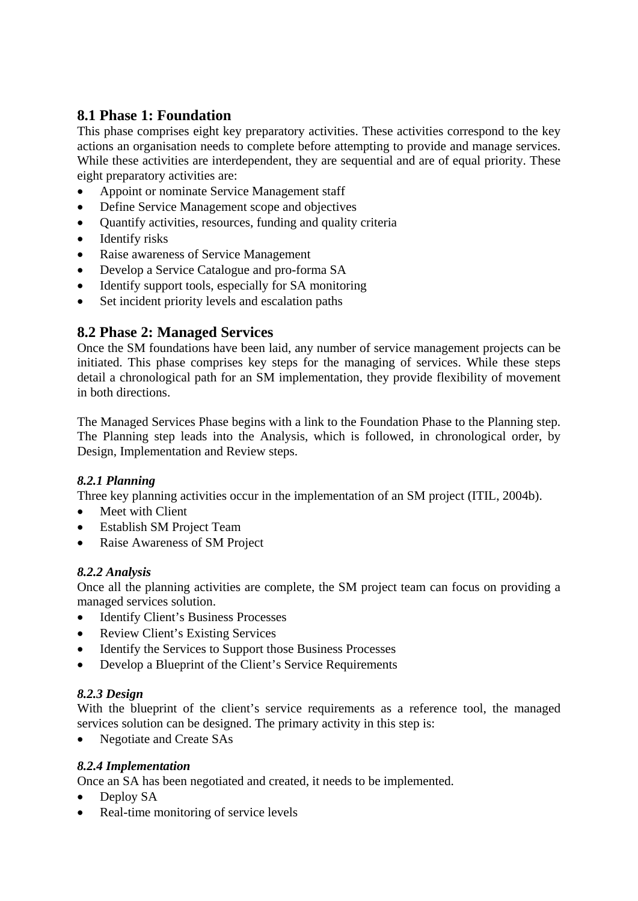### **8.1 Phase 1: Foundation**

This phase comprises eight key preparatory activities. These activities correspond to the key actions an organisation needs to complete before attempting to provide and manage services. While these activities are interdependent, they are sequential and are of equal priority. These eight preparatory activities are:

- Appoint or nominate Service Management staff
- Define Service Management scope and objectives
- Quantify activities, resources, funding and quality criteria
- Identify risks
- Raise awareness of Service Management
- Develop a Service Catalogue and pro-forma SA
- Identify support tools, especially for SA monitoring
- Set incident priority levels and escalation paths

#### **8.2 Phase 2: Managed Services**

Once the SM foundations have been laid, any number of service management projects can be initiated. This phase comprises key steps for the managing of services. While these steps detail a chronological path for an SM implementation, they provide flexibility of movement in both directions.

The Managed Services Phase begins with a link to the Foundation Phase to the Planning step. The Planning step leads into the Analysis, which is followed, in chronological order, by Design, Implementation and Review steps.

#### *8.2.1 Planning*

Three key planning activities occur in the implementation of an SM project (ITIL, 2004b).

- Meet with Client
- Establish SM Project Team
- Raise Awareness of SM Project

#### *8.2.2 Analysis*

Once all the planning activities are complete, the SM project team can focus on providing a managed services solution.

- Identify Client's Business Processes
- Review Client's Existing Services
- Identify the Services to Support those Business Processes
- Develop a Blueprint of the Client's Service Requirements

#### *8.2.3 Design*

With the blueprint of the client's service requirements as a reference tool, the managed services solution can be designed. The primary activity in this step is:

• Negotiate and Create SAs

#### *8.2.4 Implementation*

Once an SA has been negotiated and created, it needs to be implemented.

- Deploy SA
- Real-time monitoring of service levels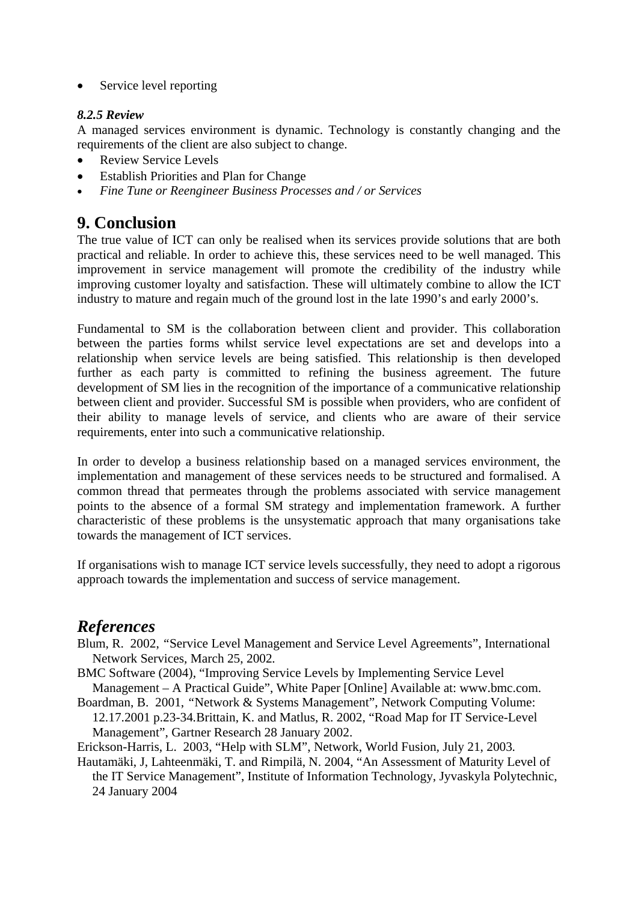• Service level reporting

#### *8.2.5 Review*

A managed services environment is dynamic. Technology is constantly changing and the requirements of the client are also subject to change.

- Review Service Levels
- Establish Priorities and Plan for Change
- *Fine Tune or Reengineer Business Processes and / or Services*

### **9. Conclusion**

The true value of ICT can only be realised when its services provide solutions that are both practical and reliable. In order to achieve this, these services need to be well managed. This improvement in service management will promote the credibility of the industry while improving customer loyalty and satisfaction. These will ultimately combine to allow the ICT industry to mature and regain much of the ground lost in the late 1990's and early 2000's.

Fundamental to SM is the collaboration between client and provider. This collaboration between the parties forms whilst service level expectations are set and develops into a relationship when service levels are being satisfied. This relationship is then developed further as each party is committed to refining the business agreement. The future development of SM lies in the recognition of the importance of a communicative relationship between client and provider. Successful SM is possible when providers, who are confident of their ability to manage levels of service, and clients who are aware of their service requirements, enter into such a communicative relationship.

In order to develop a business relationship based on a managed services environment, the implementation and management of these services needs to be structured and formalised. A common thread that permeates through the problems associated with service management points to the absence of a formal SM strategy and implementation framework. A further characteristic of these problems is the unsystematic approach that many organisations take towards the management of ICT services.

If organisations wish to manage ICT service levels successfully, they need to adopt a rigorous approach towards the implementation and success of service management.

### *References*

- Blum, R. 2002, *"*Service Level Management and Service Level Agreements", International Network Services*,* March 25, 2002*.*
- BMC Software (2004), "Improving Service Levels by Implementing Service Level Management – A Practical Guide", White Paper [Online] Available at: www.bmc.com.
- Boardman, B. 2001, *"*Network & Systems Management", Network Computing Volume: 12.17.2001 p.23-34*.*Brittain, K. and Matlus, R. 2002, "Road Map for IT Service-Level Management", Gartner Research 28 January 2002.

Erickson-Harris, L. 2003, "Help with SLM", Network, World Fusion*,* July 21, 2003*.* 

Hautamäki, J, Lahteenmäki, T. and Rimpilä, N. 2004, "An Assessment of Maturity Level of the IT Service Management", Institute of Information Technology, Jyvaskyla Polytechnic, 24 January 2004